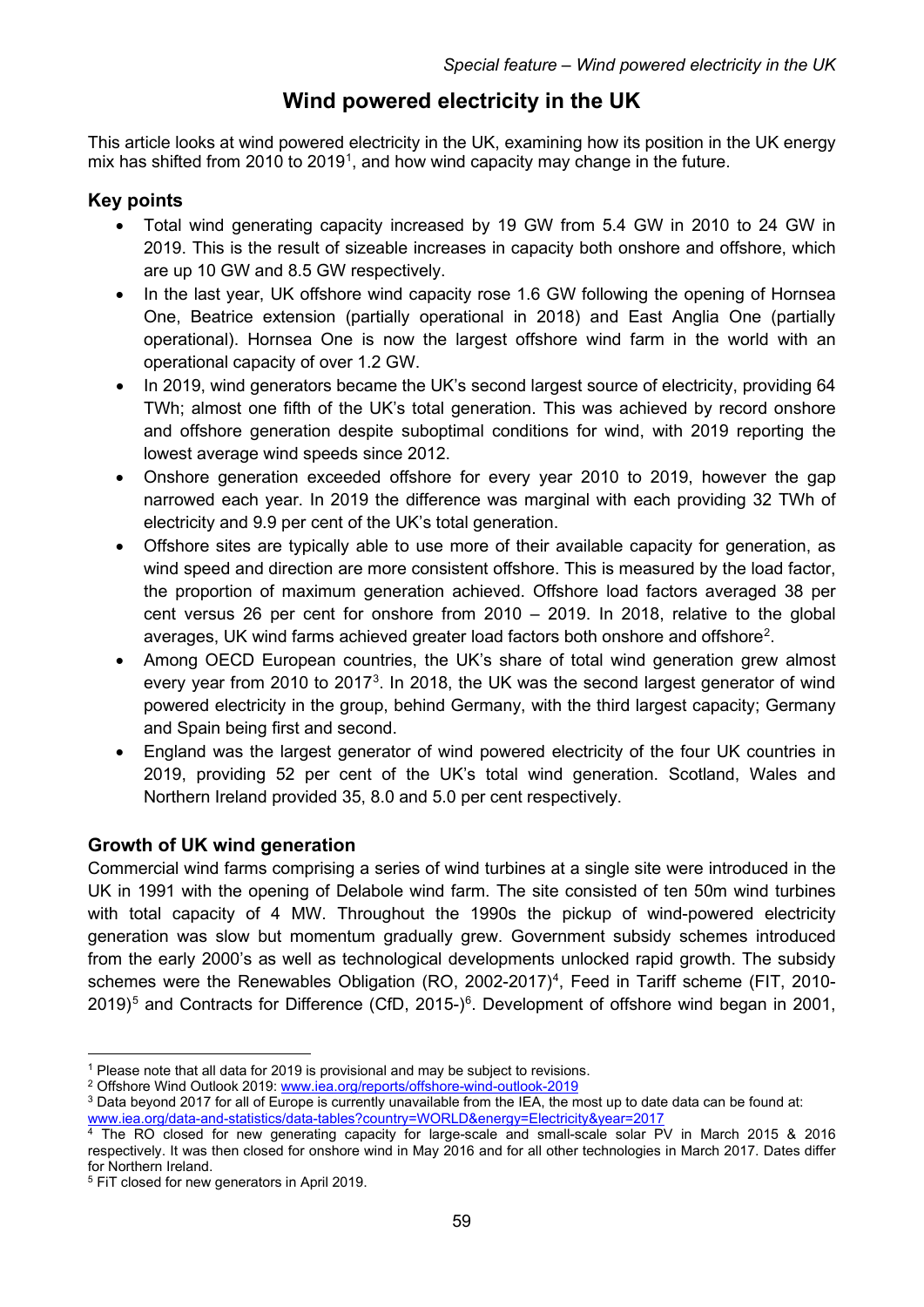# **Wind powered electricity in the UK**

This article looks at wind powered electricity in the UK, examining how its position in the UK energy mix has shifted from 20[1](#page-0-0)0 to 2019<sup>1</sup>, and how wind capacity may change in the future.

## **Key points**

- Total wind generating capacity increased by 19 GW from 5.4 GW in 2010 to 24 GW in 2019. This is the result of sizeable increases in capacity both onshore and offshore, which are up 10 GW and 8.5 GW respectively.
- In the last year, UK offshore wind capacity rose 1.6 GW following the opening of Hornsea One, Beatrice extension (partially operational in 2018) and East Anglia One (partially operational). Hornsea One is now the largest offshore wind farm in the world with an operational capacity of over 1.2 GW.
- In 2019, wind generators became the UK's second largest source of electricity, providing 64 TWh; almost one fifth of the UK's total generation. This was achieved by record onshore and offshore generation despite suboptimal conditions for wind, with 2019 reporting the lowest average wind speeds since 2012.
- Onshore generation exceeded offshore for every year 2010 to 2019, however the gap narrowed each year. In 2019 the difference was marginal with each providing 32 TWh of electricity and 9.9 per cent of the UK's total generation.
- Offshore sites are typically able to use more of their available capacity for generation, as wind speed and direction are more consistent offshore. This is measured by the load factor, the proportion of maximum generation achieved. Offshore load factors averaged 38 per cent versus 26 per cent for onshore from 2010 – 2019. In 2018, relative to the global averages, UK wind farms achieved greater load factors both onshore and offshore<sup>2</sup>.
- Among OECD European countries, the UK's share of total wind generation grew almost every year from 2010 to 2017<sup>3</sup>. In 2018, the UK was the second largest generator of wind powered electricity in the group, behind Germany, with the third largest capacity; Germany and Spain being first and second.
- England was the largest generator of wind powered electricity of the four UK countries in 2019, providing 52 per cent of the UK's total wind generation. Scotland, Wales and Northern Ireland provided 35, 8.0 and 5.0 per cent respectively.

## **Growth of UK wind generation**

Commercial wind farms comprising a series of wind turbines at a single site were introduced in the UK in 1991 with the opening of Delabole wind farm. The site consisted of ten 50m wind turbines with total capacity of 4 MW. Throughout the 1990s the pickup of wind-powered electricity generation was slow but momentum gradually grew. Government subsidy schemes introduced from the early 2000's as well as technological developments unlocked rapid growth. The subsidy schemes were the Renewables Obligation (RO, 2002-2017)<sup>[4](#page-0-3)</sup>, Feed in Tariff scheme (FIT, 2010-2019)<sup>[5](#page-0-4)</sup> and Contracts for Difference (CfD, 2015-)<sup>[6](#page-0-5)</sup>. Development of offshore wind began in 2001,

<span id="page-0-0"></span><sup>&</sup>lt;sup>1</sup> Please note that all data for 2019 is provisional and may be subject to revisions.

<span id="page-0-1"></span><sup>2</sup> Offshore Wind Outlook 2019: [www.iea.org/reports/offshore-wind-outlook-2019](https://www.iea.org/reports/offshore-wind-outlook-2019)

<span id="page-0-2"></span><sup>&</sup>lt;sup>3</sup> Data beyond 2017 for all of Europe is currently unavailable from the IEA, the most up to date data can be found at:

[www.iea.org/data-and-statistics/data-tables?country=WORLD&energy=Electricity&year=2017](https://www.iea.org/data-and-statistics/data-tables?country=WORLD&energy=Electricity&year=2017)

<span id="page-0-5"></span><span id="page-0-3"></span><sup>&</sup>lt;sup>4</sup> The RO closed for new generating capacity for large-scale and small-scale solar PV in March 2015 & 2016 respectively. It was then closed for onshore wind in May 2016 and for all other technologies in March 2017. Dates differ for Northern Ireland.

<span id="page-0-4"></span><sup>5</sup> FiT closed for new generators in April 2019.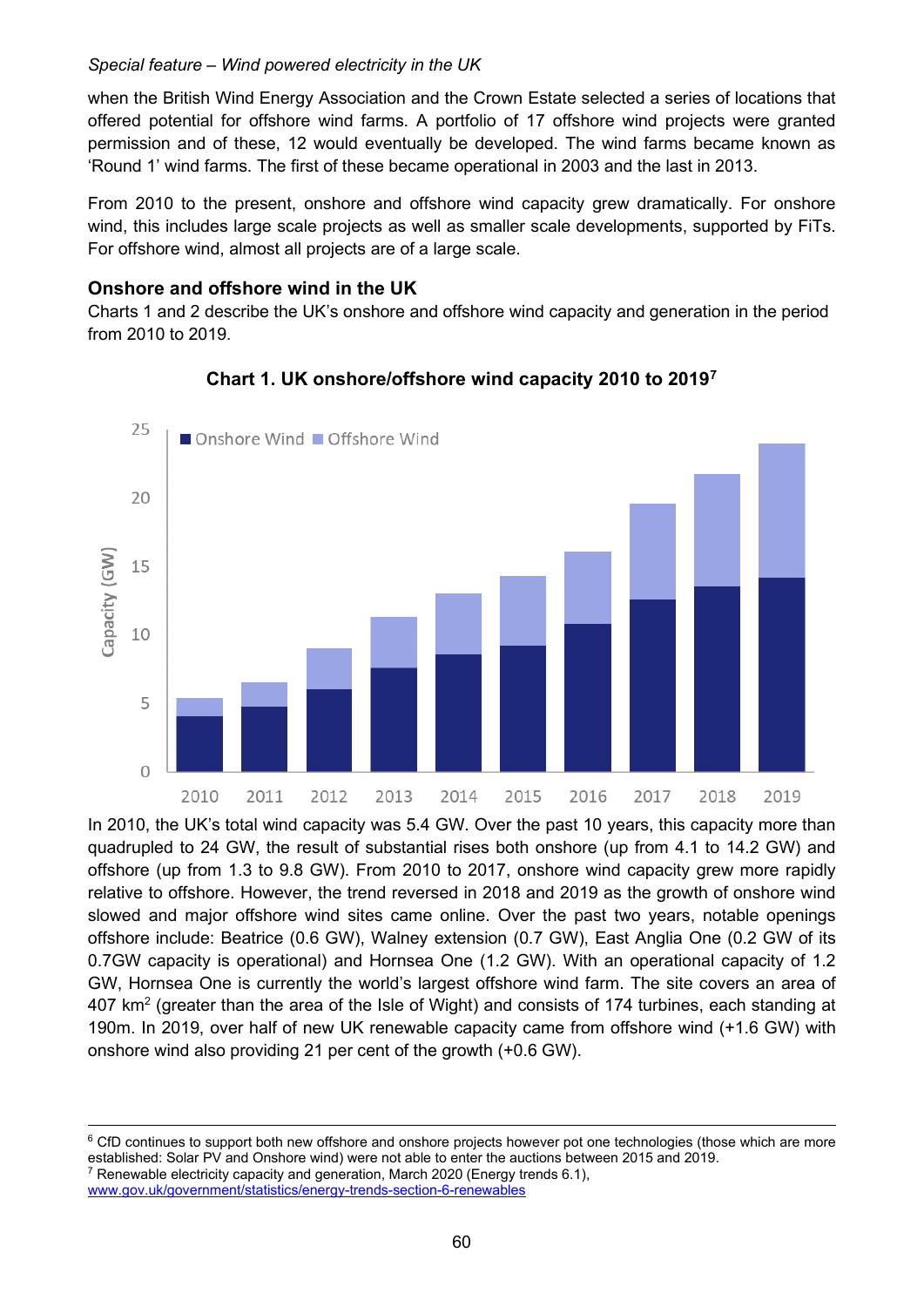when the British Wind Energy Association and the Crown Estate selected a series of locations that offered potential for offshore wind farms. A portfolio of 17 offshore wind projects were granted permission and of these, 12 would eventually be developed. The wind farms became known as 'Round 1' wind farms. The first of these became operational in 2003 and the last in 2013.

From 2010 to the present, onshore and offshore wind capacity grew dramatically. For onshore wind, this includes large scale projects as well as smaller scale developments, supported by FiTs. For offshore wind, almost all projects are of a large scale.

#### **Onshore and offshore wind in the UK**

Charts 1 and 2 describe the UK's onshore and offshore wind capacity and generation in the period from 2010 to 2019.



### **Chart 1. UK onshore/offshore wind capacity 2010 to 2019[7](#page-1-0)**

In 2010, the UK's total wind capacity was 5.4 GW. Over the past 10 years, this capacity more than quadrupled to 24 GW, the result of substantial rises both onshore (up from 4.1 to 14.2 GW) and offshore (up from 1.3 to 9.8 GW). From 2010 to 2017, onshore wind capacity grew more rapidly relative to offshore. However, the trend reversed in 2018 and 2019 as the growth of onshore wind slowed and major offshore wind sites came online. Over the past two years, notable openings offshore include: Beatrice (0.6 GW), Walney extension (0.7 GW), East Anglia One (0.2 GW of its 0.7GW capacity is operational) and Hornsea One (1.2 GW). With an operational capacity of 1.2 GW, Hornsea One is currently the world's largest offshore wind farm. The site covers an area of 407 km<sup>2</sup> (greater than the area of the Isle of Wight) and consists of 174 turbines, each standing at 190m. In 2019, over half of new UK renewable capacity came from offshore wind (+1.6 GW) with onshore wind also providing 21 per cent of the growth (+0.6 GW).

[www.gov.uk/government/statistics/energy-trends-section-6-renewables](https://www.gov.uk/government/statistics/energy-trends-section-6-renewables)

<sup>&</sup>lt;sup>6</sup> CfD continues to support both new offshore and onshore projects however pot one technologies (those which are more established: Solar PV and Onshore wind) were not able to enter the auctions between 2015 and 2019.<br><sup>7</sup> Renewable electricity capacity and generation, March 2020 (Energy trends 6.1),

<span id="page-1-0"></span>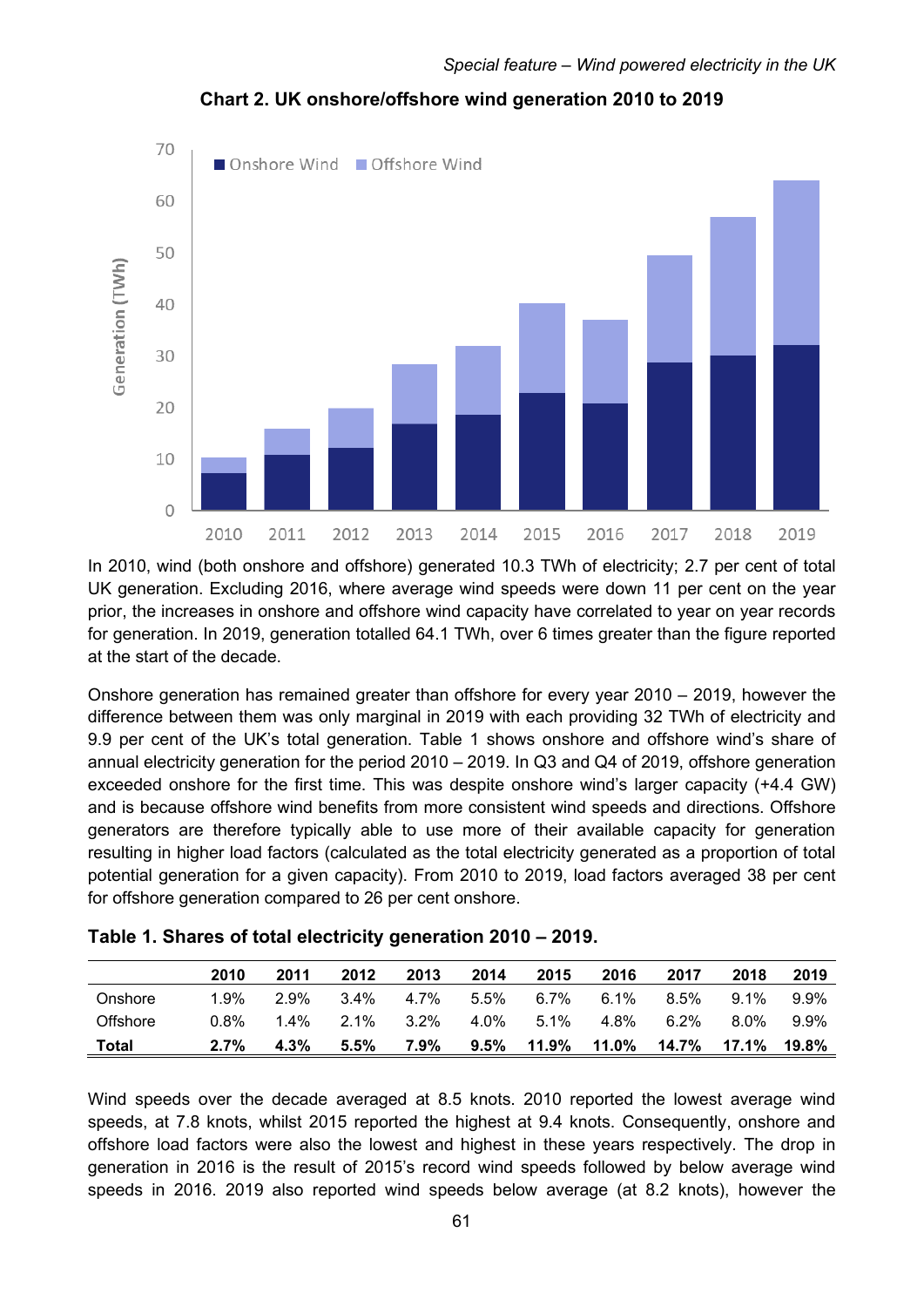

**Chart 2. UK onshore/offshore wind generation 2010 to 2019**

In 2010, wind (both onshore and offshore) generated 10.3 TWh of electricity; 2.7 per cent of total UK generation. Excluding 2016, where average wind speeds were down 11 per cent on the year prior, the increases in onshore and offshore wind capacity have correlated to year on year records for generation. In 2019, generation totalled 64.1 TWh, over 6 times greater than the figure reported at the start of the decade.

Onshore generation has remained greater than offshore for every year 2010 – 2019, however the difference between them was only marginal in 2019 with each providing 32 TWh of electricity and 9.9 per cent of the UK's total generation. Table 1 shows onshore and offshore wind's share of annual electricity generation for the period 2010 – 2019. In Q3 and Q4 of 2019, offshore generation exceeded onshore for the first time. This was despite onshore wind's larger capacity (+4.4 GW) and is because offshore wind benefits from more consistent wind speeds and directions. Offshore generators are therefore typically able to use more of their available capacity for generation resulting in higher load factors (calculated as the total electricity generated as a proportion of total potential generation for a given capacity). From 2010 to 2019, load factors averaged 38 per cent for offshore generation compared to 26 per cent onshore.

|              | 2010    | 2011    | 2012    | 2013    | 2014    | 2015    | 2016    | 2017    | 2018    | 2019  |
|--------------|---------|---------|---------|---------|---------|---------|---------|---------|---------|-------|
| Onshore      | 1.9%    | 2.9%    | $3.4\%$ | 4.7%    | 5.5%    | $6.7\%$ | $6.1\%$ | $8.5\%$ | $9.1\%$ | 9.9%  |
| Offshore     | 0.8%    | $1.4\%$ | 2.1%    | 3.2%    | 4.0%    | 5.1%    | 4.8%    | 6.2%    | 8.0%    | 9.9%  |
| <b>Total</b> | $2.7\%$ | $4.3\%$ | 5.5%    | $7.9\%$ | $9.5\%$ | 11.9%   | 11.0%   | 14.7%   | 17.1%   | 19.8% |

| Table 1. Shares of total electricity generation 2010 – 2019. |  |
|--------------------------------------------------------------|--|
|--------------------------------------------------------------|--|

Wind speeds over the decade averaged at 8.5 knots. 2010 reported the lowest average wind speeds, at 7.8 knots, whilst 2015 reported the highest at 9.4 knots. Consequently, onshore and offshore load factors were also the lowest and highest in these years respectively. The drop in generation in 2016 is the result of 2015's record wind speeds followed by below average wind speeds in 2016. 2019 also reported wind speeds below average (at 8.2 knots), however the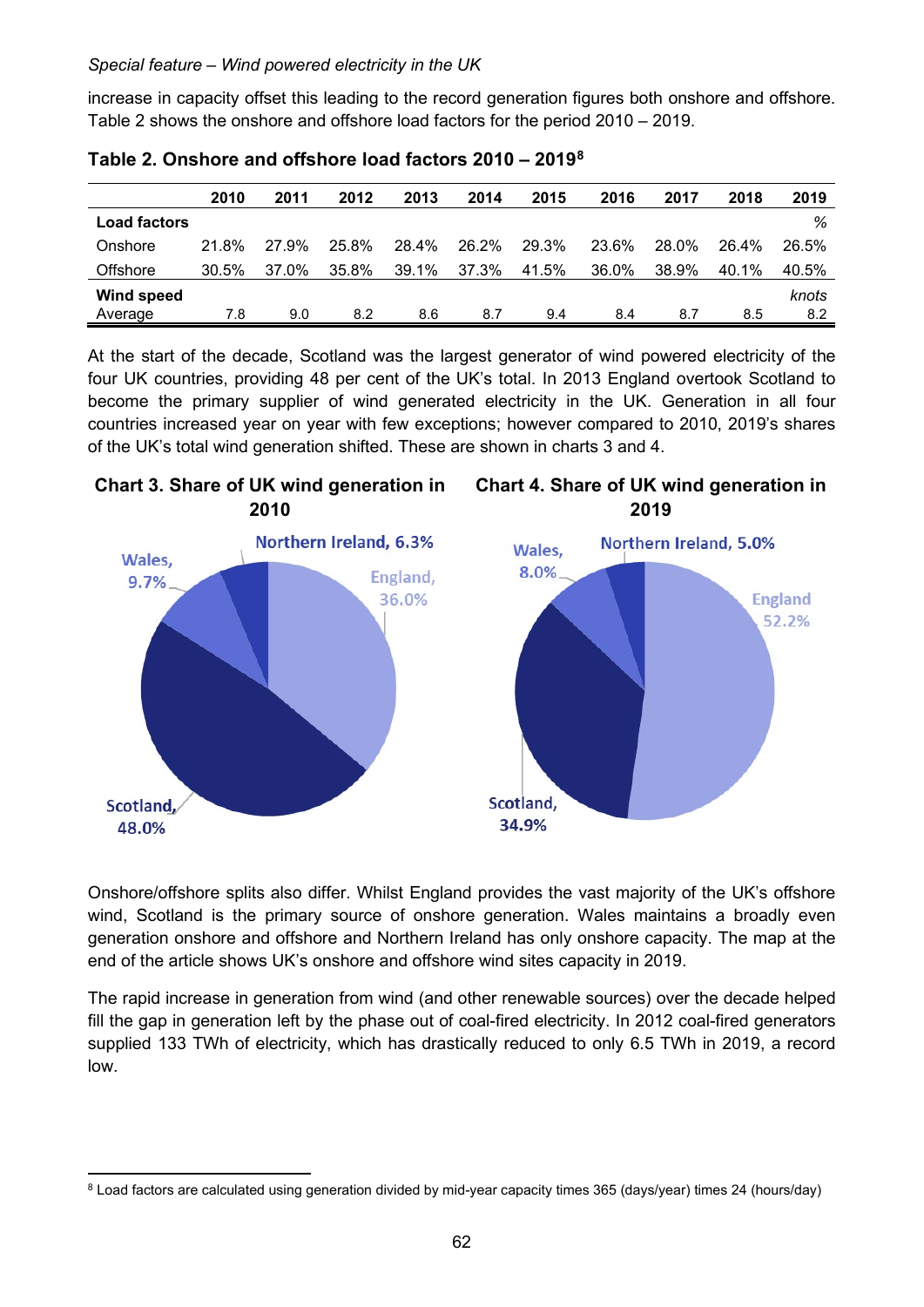increase in capacity offset this leading to the record generation figures both onshore and offshore. Table 2 shows the onshore and offshore load factors for the period 2010 – 2019.

|                     | 2010  | 2011  | 2012  | 2013  | 2014  | 2015  | 2016  | 2017  | 2018  | 2019  |
|---------------------|-------|-------|-------|-------|-------|-------|-------|-------|-------|-------|
| <b>Load factors</b> |       |       |       |       |       |       |       |       |       | %     |
| Onshore             | 21.8% | 27.9% | 25.8% | 28.4% | 26.2% | 29.3% | 23.6% | 28.0% | 26.4% | 26.5% |
| Offshore            | 30.5% | 37.0% | 35.8% | 39.1% | 37.3% | 41.5% | 36.0% | 38.9% | 40.1% | 40.5% |
| <b>Wind speed</b>   |       |       |       |       |       |       |       |       |       | knots |
| Average             | 7.8   | 9.0   | 8.2   | 8.6   | 8.7   | 9.4   | 8.4   | 8.7   | 8.5   | 8.2   |

**Table 2. Onshore and offshore load factors 2010 – 2019[8](#page-3-0)**

At the start of the decade, Scotland was the largest generator of wind powered electricity of the four UK countries, providing 48 per cent of the UK's total. In 2013 England overtook Scotland to become the primary supplier of wind generated electricity in the UK. Generation in all four countries increased year on year with few exceptions; however compared to 2010, 2019's shares of the UK's total wind generation shifted. These are shown in charts 3 and 4.



Onshore/offshore splits also differ. Whilst England provides the vast majority of the UK's offshore wind, Scotland is the primary source of onshore generation. Wales maintains a broadly even generation onshore and offshore and Northern Ireland has only onshore capacity. The map at the end of the article shows UK's onshore and offshore wind sites capacity in 2019.

The rapid increase in generation from wind (and other renewable sources) over the decade helped fill the gap in generation left by the phase out of coal-fired electricity. In 2012 coal-fired generators supplied 133 TWh of electricity, which has drastically reduced to only 6.5 TWh in 2019, a record low.

<span id="page-3-0"></span><sup>8</sup> Load factors are calculated using generation divided by mid-year capacity times 365 (days/year) times 24 (hours/day)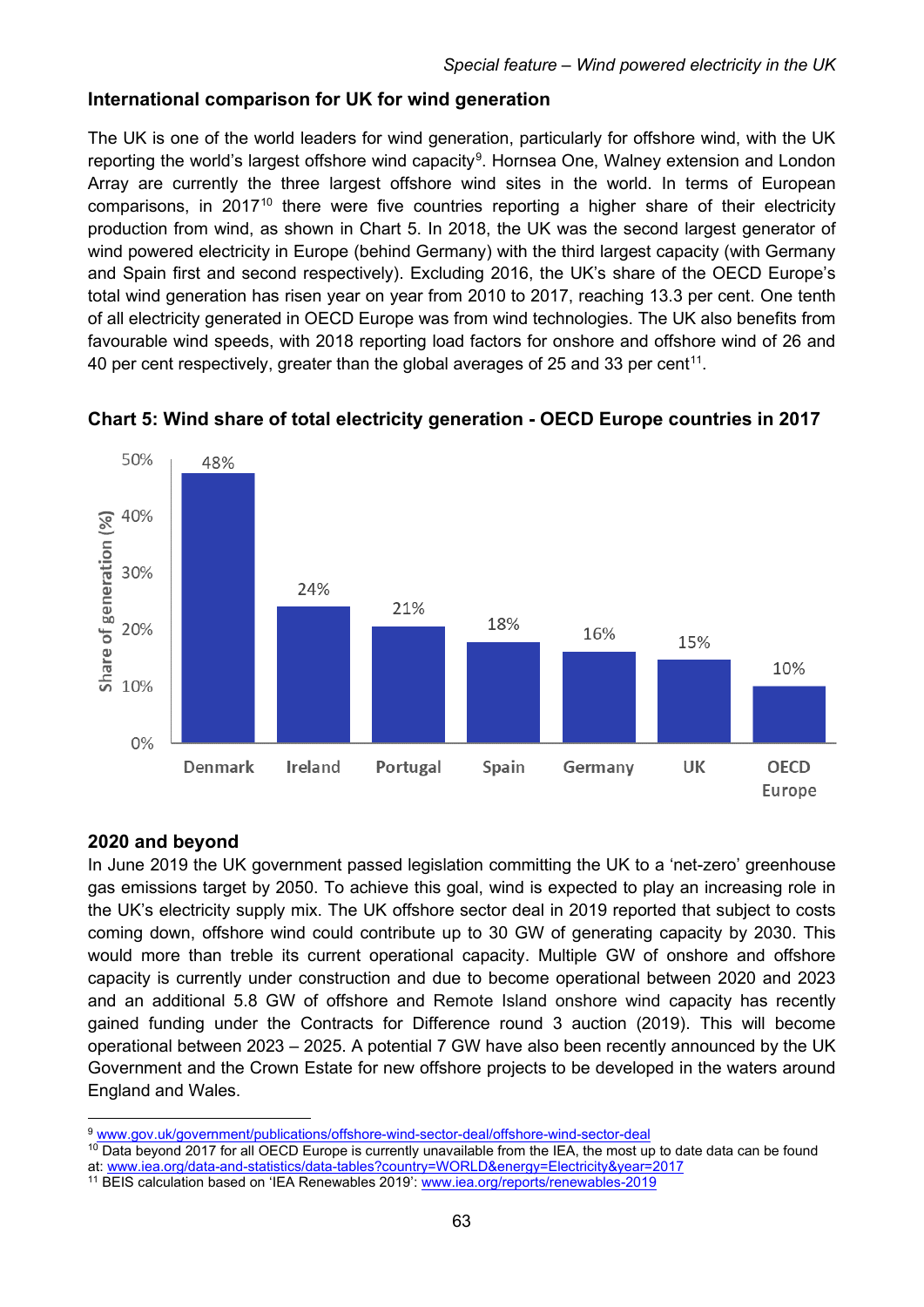### **International comparison for UK for wind generation**

The UK is one of the world leaders for wind generation, particularly for offshore wind, with the UK reporting the world's largest offshore wind capacity<sup>[9](#page-4-0)</sup>. Hornsea One, Walney extension and London Array are currently the three largest offshore wind sites in the world. In terms of European comparisons, in 2017<sup>[10](#page-4-1)</sup> there were five countries reporting a higher share of their electricity production from wind, as shown in Chart 5. In 2018, the UK was the second largest generator of wind powered electricity in Europe (behind Germany) with the third largest capacity (with Germany and Spain first and second respectively). Excluding 2016, the UK's share of the OECD Europe's total wind generation has risen year on year from 2010 to 2017, reaching 13.3 per cent. One tenth of all electricity generated in OECD Europe was from wind technologies. The UK also benefits from favourable wind speeds, with 2018 reporting load factors for onshore and offshore wind of 26 and 40 per cent respectively, greater than the global averages of 25 and 33 per cent<sup>11</sup>.



### **Chart 5: Wind share of total electricity generation - OECD Europe countries in 2017**

### **2020 and beyond**

In June 2019 the UK government passed legislation committing the UK to a 'net-zero' greenhouse gas emissions target by 2050. To achieve this goal, wind is expected to play an increasing role in the UK's electricity supply mix. The UK offshore sector deal in 2019 reported that subject to costs coming down, offshore wind could contribute up to 30 GW of generating capacity by 2030. This would more than treble its current operational capacity. Multiple GW of onshore and offshore capacity is currently under construction and due to become operational between 2020 and 2023 and an additional 5.8 GW of offshore and Remote Island onshore wind capacity has recently gained funding under the Contracts for Difference round 3 auction (2019). This will become operational between 2023 – 2025. A potential 7 GW have also been recently announced by the UK Government and the Crown Estate for new offshore projects to be developed in the waters around England and Wales.

<span id="page-4-0"></span><sup>9</sup> [www.gov.uk/government/publications/offshore-wind-sector-deal/offshore-wind-sector-deal](https://www.gov.uk/government/publications/offshore-wind-sector-deal/offshore-wind-sector-deal)

<span id="page-4-1"></span> $10$  Data beyond 2017 for all OECD Europe is currently unavailable from the IEA, the most up to date data can be found at: [www.iea.org/data-and-statistics/data-tables?country=WORLD&energy=Electricity&year=2017](https://www.iea.org/data-and-statistics/data-tables?country=WORLD&energy=Electricity&year=2017)

<span id="page-4-2"></span><sup>11</sup> BEIS calculation based on 'IEA Renewables 2019'[: www.iea.org/reports/renewables-2019](https://www.iea.org/reports/renewables-2019)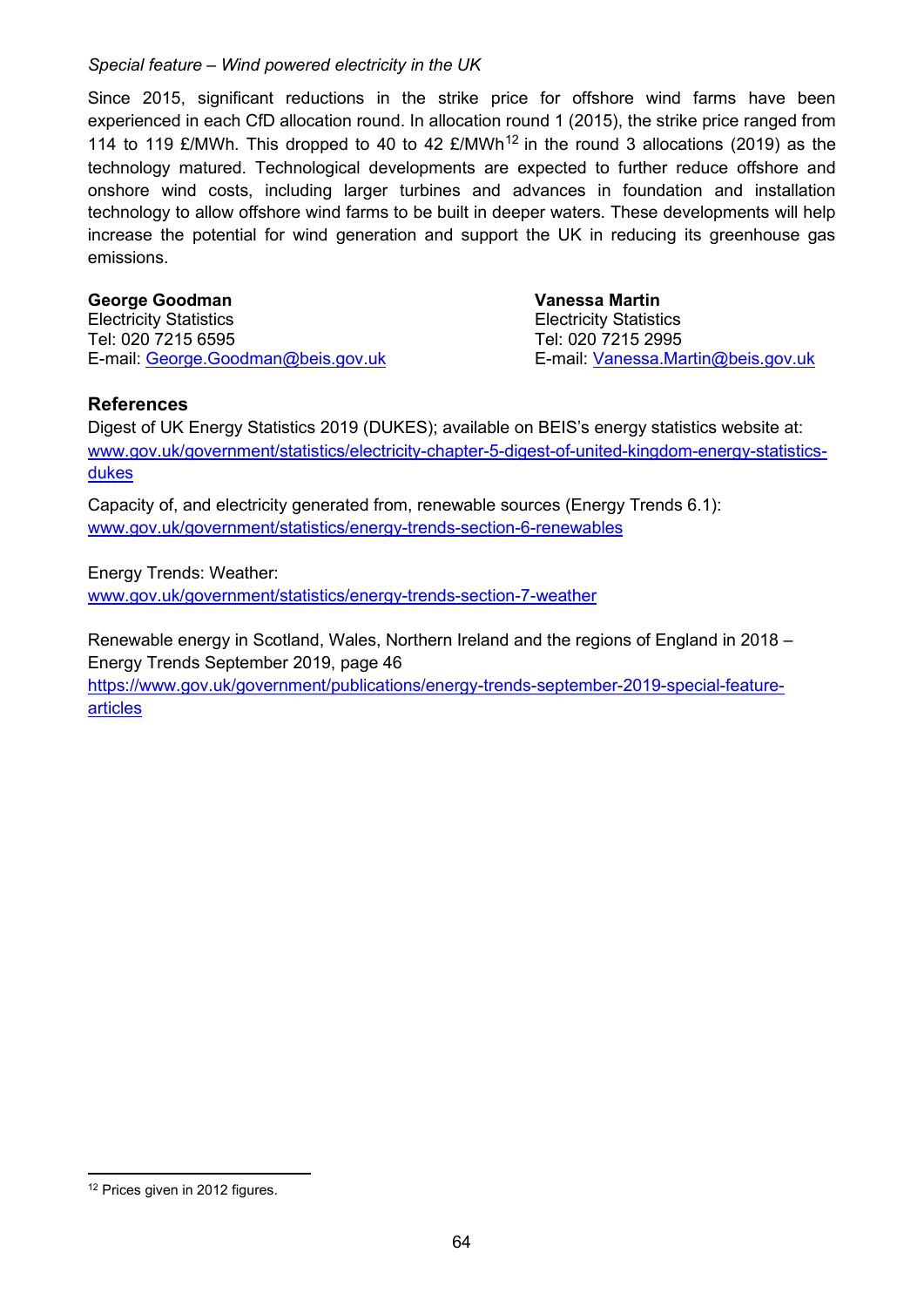Since 2015, significant reductions in the strike price for offshore wind farms have been experienced in each CfD allocation round. In allocation round 1 (2015), the strike price ranged from 114 to 119 £/MWh. This dropped to 40 to 42 £/MWh<sup>[12](#page-5-0)</sup> in the round 3 allocations (2019) as the technology matured. Technological developments are expected to further reduce offshore and onshore wind costs, including larger turbines and advances in foundation and installation technology to allow offshore wind farms to be built in deeper waters. These developments will help increase the potential for wind generation and support the UK in reducing its greenhouse gas emissions.

#### **George Goodman Vanessa Martin**

Electricity Statistics Electricity Statistics Tel: 020 7215 6595 Tel: 020 7215 2995 E-mail: [George.Goodman@beis.gov.uk](mailto:George.Goodman@beis.gov.uk)

#### **References**

Digest of UK Energy Statistics 2019 (DUKES); available on BEIS's energy statistics website at: [www.gov.uk/government/statistics/electricity-chapter-5-digest-of-united-kingdom-energy-statistics](http://www.gov.uk/government/statistics/electricity-chapter-5-digest-of-united-kingdom-energy-statistics-dukes)[dukes](http://www.gov.uk/government/statistics/electricity-chapter-5-digest-of-united-kingdom-energy-statistics-dukes)

Capacity of, and electricity generated from, renewable sources (Energy Trends 6.1): [www.gov.uk/government/statistics/energy-trends-section-6-renewables](http://www.gov.uk/government/statistics/energy-trends-section-6-renewables)

Energy Trends: Weather:

[www.gov.uk/government/statistics/energy-trends-section-7-weather](http://www.gov.uk/government/statistics/energy-trends-section-7-weather)

Renewable energy in Scotland, Wales, Northern Ireland and the regions of England in 2018 – Energy Trends September 2019, page 46 [https://www.gov.uk/government/publications/energy-trends-september-2019-special-feature](https://www.gov.uk/government/publications/energy-trends-september-2019-special-feature-articles)[articles](https://www.gov.uk/government/publications/energy-trends-september-2019-special-feature-articles)

<span id="page-5-0"></span><sup>&</sup>lt;sup>12</sup> Prices given in 2012 figures.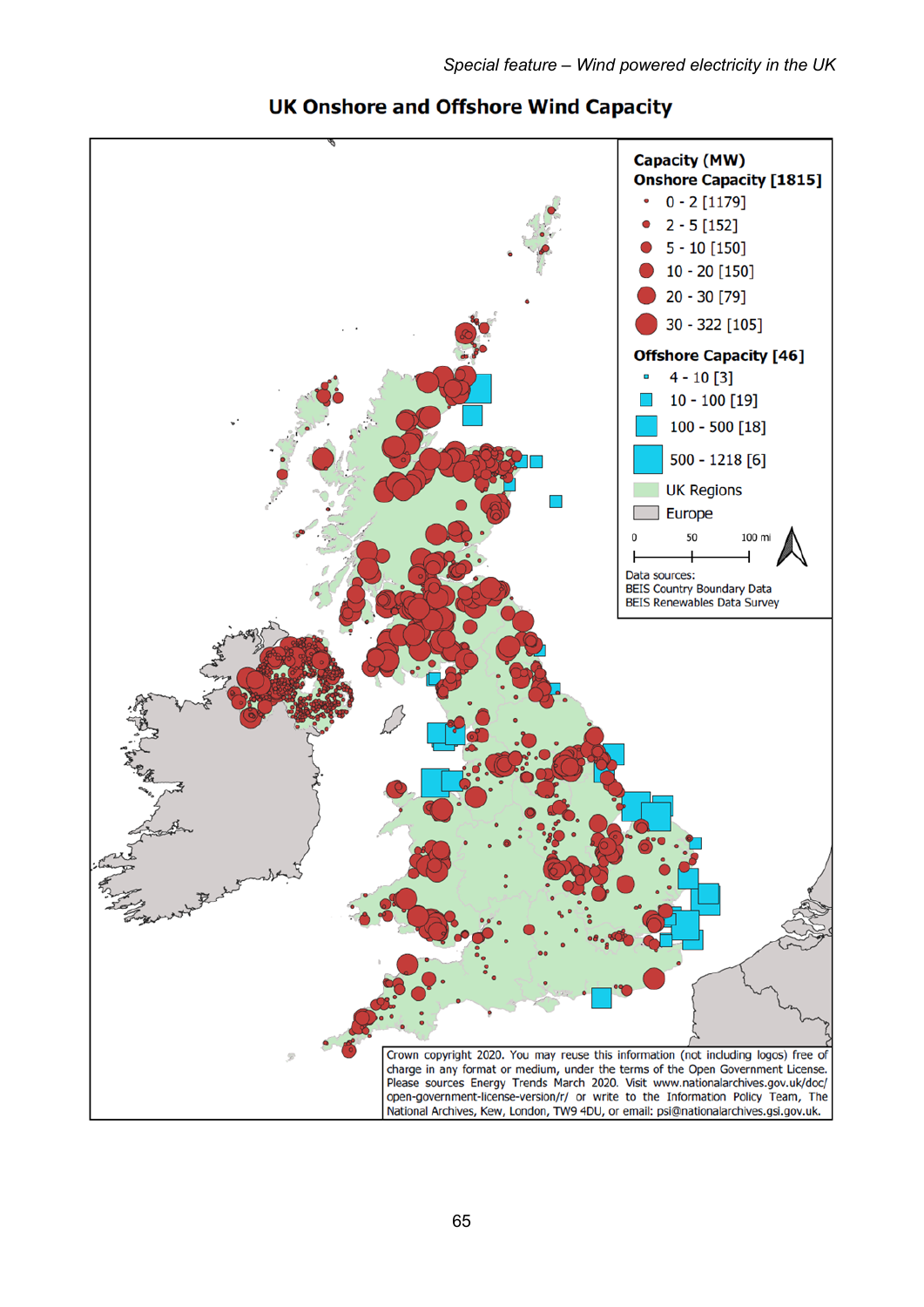

## **UK Onshore and Offshore Wind Capacity**